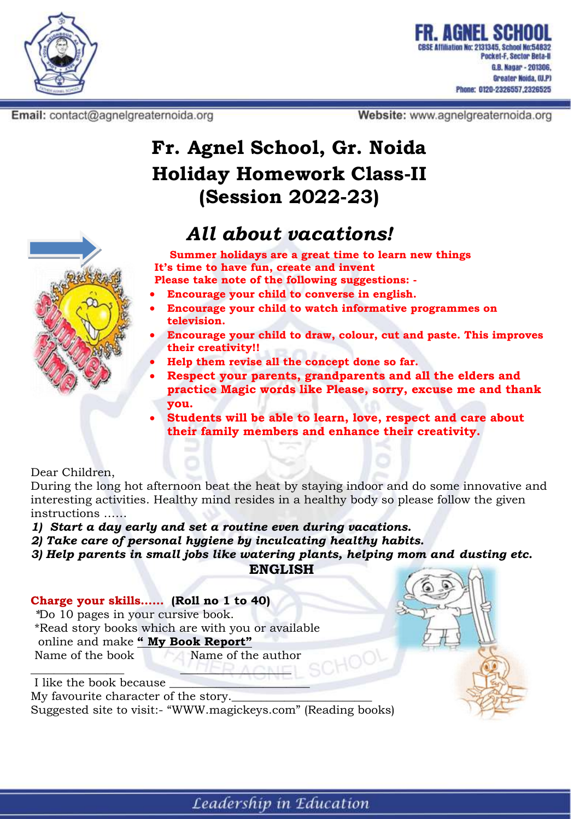

Email: contact@agnelgreaternoida.org

Website: www.agnelgreaternoida.org

# **Fr. Agnel School, Gr. Noida Holiday Homework Class-II (Session 2022-23)**

## *All about vacations!*

**Summer holidays are a great time to learn new things It's time to have fun, create and invent Please take note of the following suggestions: -**

- **Encourage your child to converse in english.**
- **Encourage your child to watch informative programmes on television.**
- **Encourage your child to draw, colour, cut and paste. This improves their creativity!!**
- **Help them revise all the concept done so far.**
- **Respect your parents, grandparents and all the elders and practice Magic words like Please, sorry, excuse me and thank you.**
- **Students will be able to learn, love, respect and care about their family members and enhance their creativity.**

Dear Children,

During the long hot afternoon beat the heat by staying indoor and do some innovative and interesting activities. Healthy mind resides in a healthy body so please follow the given instructions ……

*1) Start a day early and set a routine even during vacations.*

*2) Take care of personal hygiene by inculcating healthy habits.*

*3) Help parents in small jobs like watering plants, helping mom and dusting etc.* **ENGLISH**



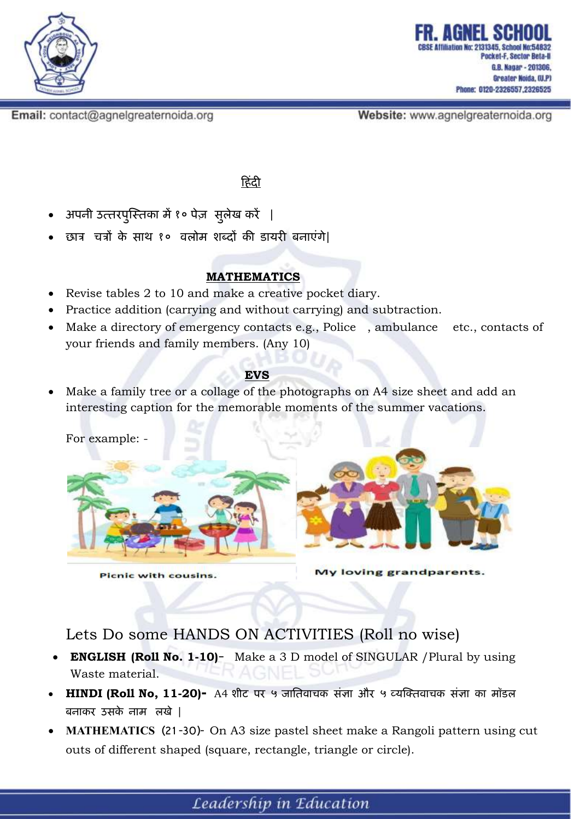

Email: contact@agnelgreaternoida.org

Website: www.agnelgreaternoida.org

#### **ह िंदी**

- **अपनी उत्तरपुस्ततका में१ ० पेज़ सुलेख करें |**
- **छात्र चित्रों के साथ १० विलोम शब्दों की डायरी बनाएिंगे|**

#### **MATHEMATICS**

- Revise tables 2 to 10 and make a creative pocket diary.
- Practice addition (carrying and without carrying) and subtraction.
- Make a directory of emergency contacts e.g., Police, ambulance etc., contacts of your friends and family members. (Any 10)

### **EVS**

 Make a family tree or a collage of the photographs on A4 size sheet and add an interesting caption for the memorable moments of the summer vacations.

For example: -



Picnic with cousins.

My loving grandparents.

Lets Do some HANDS ON ACTIVITIES (Roll no wise)

- **ENGLISH (Roll No. 1-10)** Make a 3 D model of SINGULAR /Plural by using Waste material.
- **HINDI (Roll No, 11-20)-** A4 **शीट पर ५ जाततिािक सिंज्ञा और ५ व्यस्ततिािक सिंज्ञा का मॉडल बनाकर उसके नाम ललखे |**
- **MATHEMATICS (21 -30)-** On A3 size pastel sheet make a Rangoli pattern using cut outs of different shaped (square, rectangle, triangle or circle).